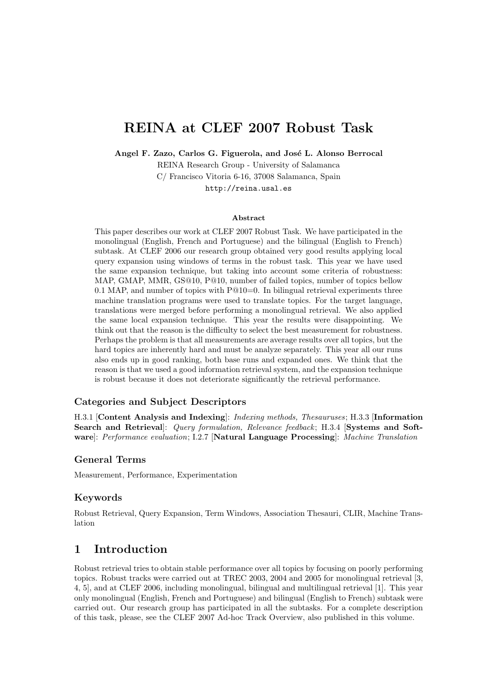# REINA at CLEF 2007 Robust Task

Angel F. Zazo, Carlos G. Figuerola, and José L. Alonso Berrocal

REINA Research Group - University of Salamanca C/ Francisco Vitoria 6-16, 37008 Salamanca, Spain http://reina.usal.es

#### Abstract

This paper describes our work at CLEF 2007 Robust Task. We have participated in the monolingual (English, French and Portuguese) and the bilingual (English to French) subtask. At CLEF 2006 our research group obtained very good results applying local query expansion using windows of terms in the robust task. This year we have used the same expansion technique, but taking into account some criteria of robustness: MAP, GMAP, MMR, GS@10, P@10, number of failed topics, number of topics bellow 0.1 MAP, and number of topics with  $P@10=0$ . In bilingual retrieval experiments three machine translation programs were used to translate topics. For the target language, translations were merged before performing a monolingual retrieval. We also applied the same local expansion technique. This year the results were disappointing. We think out that the reason is the difficulty to select the best measurement for robustness. Perhaps the problem is that all measurements are average results over all topics, but the hard topics are inherently hard and must be analyze separately. This year all our runs also ends up in good ranking, both base runs and expanded ones. We think that the reason is that we used a good information retrieval system, and the expansion technique is robust because it does not deteriorate significantly the retrieval performance.

#### Categories and Subject Descriptors

H.3.1 [Content Analysis and Indexing]: Indexing methods, Thesauruses; H.3.3 [Information Search and Retrieval]: Query formulation, Relevance feedback; H.3.4 [Systems and Software]: Performance evaluation; I.2.7 [Natural Language Processing]: Machine Translation

#### General Terms

Measurement, Performance, Experimentation

### Keywords

Robust Retrieval, Query Expansion, Term Windows, Association Thesauri, CLIR, Machine Translation

### 1 Introduction

Robust retrieval tries to obtain stable performance over all topics by focusing on poorly performing topics. Robust tracks were carried out at TREC 2003, 2004 and 2005 for monolingual retrieval [3, 4, 5], and at CLEF 2006, including monolingual, bilingual and multilingual retrieval [1]. This year only monolingual (English, French and Portuguese) and bilingual (English to French) subtask were carried out. Our research group has participated in all the subtasks. For a complete description of this task, please, see the CLEF 2007 Ad-hoc Track Overview, also published in this volume.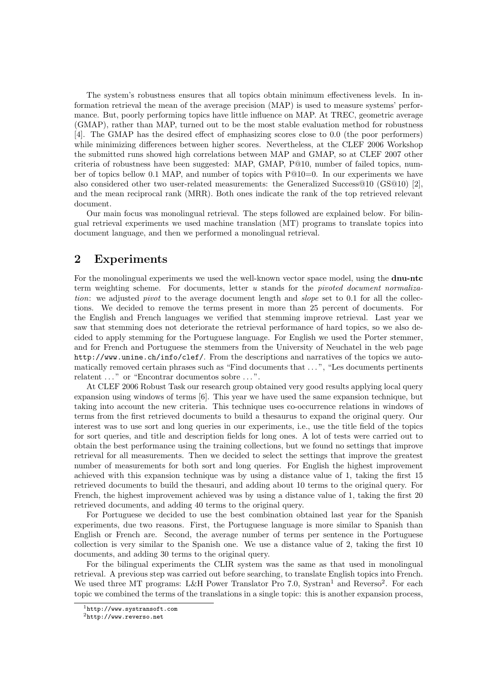The system's robustness ensures that all topics obtain minimum effectiveness levels. In information retrieval the mean of the average precision (MAP) is used to measure systems' performance. But, poorly performing topics have little influence on MAP. At TREC, geometric average (GMAP), rather than MAP, turned out to be the most stable evaluation method for robustness [4]. The GMAP has the desired effect of emphasizing scores close to 0.0 (the poor performers) while minimizing differences between higher scores. Nevertheless, at the CLEF 2006 Workshop the submitted runs showed high correlations between MAP and GMAP, so at CLEF 2007 other criteria of robustness have been suggested: MAP, GMAP, P@10, number of failed topics, number of topics bellow 0.1 MAP, and number of topics with P@10=0. In our experiments we have also considered other two user-related measurements: the Generalized Success@10 (GS@10) [2], and the mean reciprocal rank (MRR). Both ones indicate the rank of the top retrieved relevant document.

Our main focus was monolingual retrieval. The steps followed are explained below. For bilingual retrieval experiments we used machine translation (MT) programs to translate topics into document language, and then we performed a monolingual retrieval.

### 2 Experiments

For the monolingual experiments we used the well-known vector space model, using the **dnu-ntc** term weighting scheme. For documents, letter u stands for the pivoted document normalization: we adjusted *pivot* to the average document length and *slope* set to 0.1 for all the collections. We decided to remove the terms present in more than 25 percent of documents. For the English and French languages we verified that stemming improve retrieval. Last year we saw that stemming does not deteriorate the retrieval performance of hard topics, so we also decided to apply stemming for the Portuguese language. For English we used the Porter stemmer, and for French and Portuguese the stemmers from the University of Neuchatel in the web page http://www.unine.ch/info/clef/. From the descriptions and narratives of the topics we automatically removed certain phrases such as "Find documents that . . . ", "Les documents pertinents relatent ..." or "Encontrar documentos sobre ...".

At CLEF 2006 Robust Task our research group obtained very good results applying local query expansion using windows of terms [6]. This year we have used the same expansion technique, but taking into account the new criteria. This technique uses co-occurrence relations in windows of terms from the first retrieved documents to build a thesaurus to expand the original query. Our interest was to use sort and long queries in our experiments, i.e., use the title field of the topics for sort queries, and title and description fields for long ones. A lot of tests were carried out to obtain the best performance using the training collections, but we found no settings that improve retrieval for all measurements. Then we decided to select the settings that improve the greatest number of measurements for both sort and long queries. For English the highest improvement achieved with this expansion technique was by using a distance value of 1, taking the first 15 retrieved documents to build the thesauri, and adding about 10 terms to the original query. For French, the highest improvement achieved was by using a distance value of 1, taking the first 20 retrieved documents, and adding 40 terms to the original query.

For Portuguese we decided to use the best combination obtained last year for the Spanish experiments, due two reasons. First, the Portuguese language is more similar to Spanish than English or French are. Second, the average number of terms per sentence in the Portuguese collection is very similar to the Spanish one. We use a distance value of 2, taking the first 10 documents, and adding 30 terms to the original query.

For the bilingual experiments the CLIR system was the same as that used in monolingual retrieval. A previous step was carried out before searching, to translate English topics into French. We used three MT programs: L&H Power Translator Pro 7.0, Systran<sup>1</sup> and Reverso<sup>2</sup>. For each topic we combined the terms of the translations in a single topic: this is another expansion process,

<sup>1</sup>http://www.systransoft.com

 $2$ http://www.reverso.net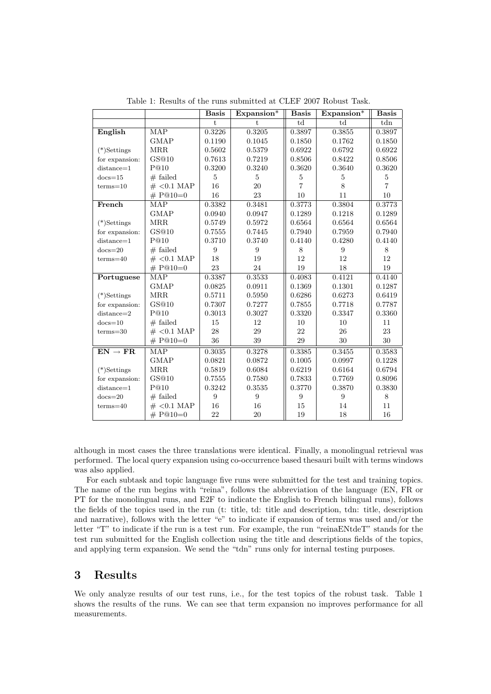|                     |                         | <b>Basis</b> | $Expansion*$ | <b>Basis</b>   | $Expansion*$ | <b>Basis</b>   |
|---------------------|-------------------------|--------------|--------------|----------------|--------------|----------------|
|                     |                         | $\ddagger$   | $\ddagger$   | td             | td           | tdn            |
| English             | <b>MAP</b>              | 0.3226       | 0.3205       | 0.3897         | 0.3855       | 0.3897         |
|                     | <b>GMAP</b>             | 0.1190       | 0.1045       | 0.1850         | 0.1762       | 0.1850         |
| $(*)$ Settings      | <b>MRR</b>              | 0.5602       | 0.5379       | 0.6922         | 0.6792       | 0.6922         |
| for expansion:      | GS@10                   | 0.7613       | 0.7219       | 0.8506         | 0.8422       | 0.8506         |
| $distance = 1$      | P@10                    | 0.3200       | 0.3240       | 0.3620         | 0.3640       | 0.3620         |
| $docs=15$           | $#$ failed              | 5            | 5            | 5              | 5            | 5              |
| $terms = 10$        | $\#$ < 0.1 MAP          | 16           | $20\,$       | $\overline{7}$ | 8            | $\overline{7}$ |
|                     | # $P@10=0$              | 16           | 23           | 10             | 11           | 10             |
| French              | MAP                     | 0.3382       | 0.3481       | 0.3773         | 0.3804       | 0.3773         |
|                     | <b>GMAP</b>             | 0.0940       | 0.0947       | 0.1289         | 0.1218       | 0.1289         |
| $(*)$ Settings      | <b>MRR</b>              | 0.5749       | 0.5972       | 0.6564         | 0.6564       | 0.6564         |
| for expansion:      | GS@10                   | 0.7555       | 0.7445       | 0.7940         | 0.7959       | 0.7940         |
| $distance = 1$      | P@10                    | 0.3710       | 0.3740       | 0.4140         | 0.4280       | 0.4140         |
| $docs=20$           | $#$ failed              | 9            | 9            | 8              | 9            | 8              |
| $terms = 40$        | $\#$ < 0.1 MAP          | 18           | 19           | 12             | 12           | 12             |
|                     | # $P@10=0$              | 23           | 24           | 19             | 18           | 19             |
| Portuguese          | <b>MAP</b>              | 0.3387       | 0.3533       | 0.4083         | 0.4121       | 0.4140         |
|                     | <b>GMAP</b>             | 0.0825       | 0.0911       | 0.1369         | 0.1301       | 0.1287         |
| $(*)$ Settings      | <b>MRR</b>              | 0.5711       | 0.5950       | 0.6286         | 0.6273       | 0.6419         |
| for expansion:      | GS@10                   | 0.7307       | 0.7277       | 0.7855         | 0.7718       | 0.7787         |
| $distance = 2$      | $P@10$                  | 0.3013       | 0.3027       | 0.3320         | 0.3347       | 0.3360         |
| $docs=10$           | $#$ failed              | 15           | 12           | 10             | 10           | 11             |
| $terms = 30$        | $\#$ < 0.1 MAP          | 28           | 29           | 22             | 26           | 23             |
|                     | # $P@10=0$              | 36           | 39           | 29             | 30           | 30             |
| $EN \rightarrow FR$ | $\overline{\text{MAP}}$ | 0.3035       | 0.3278       | 0.3385         | 0.3455       | 0.3583         |
|                     | <b>GMAP</b>             | 0.0821       | 0.0872       | 0.1005         | 0.0997       | 0.1228         |
| $(*)$ Settings      | MRR                     | 0.5819       | 0.6084       | 0.6219         | 0.6164       | 0.6794         |
| for expansion:      | GS@10                   | 0.7555       | 0.7580       | 0.7833         | 0.7769       | 0.8096         |
| $distance=1$        | P@10                    | 0.3242       | 0.3535       | 0.3770         | 0.3870       | 0.3830         |
| $docs=20$           | $#$ failed              | 9            | 9            | 9              | 9            | 8              |
| $terms = 40$        | $\#$ < 0.1 MAP          | 16           | 16           | 15             | 14           | 11             |
|                     | # $P@10=0$              | 22           | 20           | 19             | 18           | 16             |

Table 1: Results of the runs submitted at CLEF 2007 Robust Task.

although in most cases the three translations were identical. Finally, a monolingual retrieval was performed. The local query expansion using co-occurrence based thesauri built with terms windows was also applied.

For each subtask and topic language five runs were submitted for the test and training topics. The name of the run begins with "reina", follows the abbreviation of the language (EN, FR or PT for the monolingual runs, and E2F to indicate the English to French bilingual runs), follows the fields of the topics used in the run (t: title, td: title and description, tdn: title, description and narrative), follows with the letter "e" to indicate if expansion of terms was used and/or the letter "T" to indicate if the run is a test run. For example, the run "reinaENtdeT" stands for the test run submitted for the English collection using the title and descriptions fields of the topics, and applying term expansion. We send the "tdn" runs only for internal testing purposes.

# 3 Results

We only analyze results of our test runs, i.e., for the test topics of the robust task. Table 1 shows the results of the runs. We can see that term expansion no improves performance for all measurements.